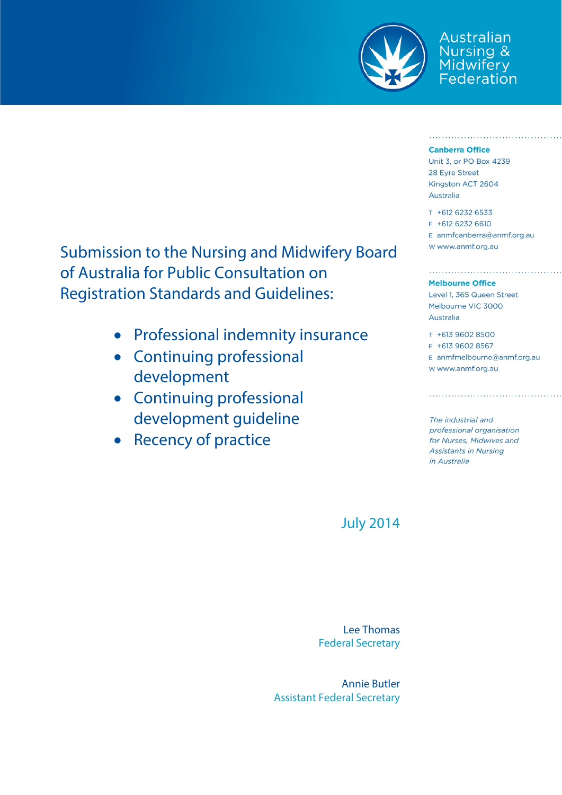

Australian Nursing & Midwifery<br>Federation

#### **Canberra Office**

Unit 3, or PO Box 4239 28 Eyre Street Kingston ACT 2604 **Australia** 

T +612 6232 6533 F +612 6232 6610 E anmfcanberra@anmf.org.au W www.anmf.org.au

#### **Melbourne Office**

Level 1, 365 Queen Street Melbourne VIC 3000 Australia

T +613 9602 8500 F +613 9602 8567 E anmfmelbourne@anmf.org.au W www.anmf.org.au

The industrial and professional organisation for Nurses, Midwives and **Assistants in Nursing** in Australia

Submission to the Nursing and Midwifery Board of Australia for Public Consultation on Registration Standards and Guidelines:

- Professional indemnity insurance
- Continuing professional development
- Continuing professional development guideline
- Recency of practice

July 2014

Lee Thomas Federal Secretary

Annie Butler Assistant Federal Secretary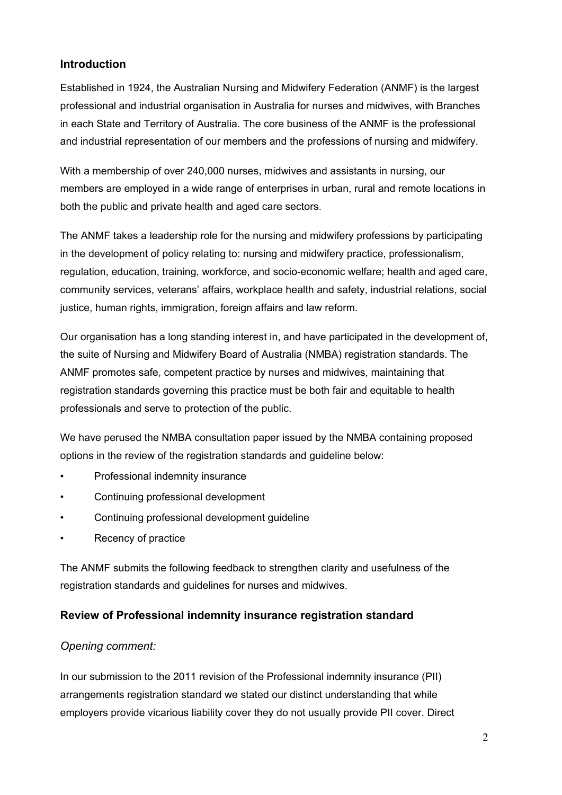### **Introduction**

Established in 1924, the Australian Nursing and Midwifery Federation (ANMF) is the largest professional and industrial organisation in Australia for nurses and midwives, with Branches in each State and Territory of Australia. The core business of the ANMF is the professional and industrial representation of our members and the professions of nursing and midwifery.

With a membership of over 240,000 nurses, midwives and assistants in nursing, our members are employed in a wide range of enterprises in urban, rural and remote locations in both the public and private health and aged care sectors.

The ANMF takes a leadership role for the nursing and midwifery professions by participating in the development of policy relating to: nursing and midwifery practice, professionalism, regulation, education, training, workforce, and socio-economic welfare; health and aged care, community services, veterans' affairs, workplace health and safety, industrial relations, social justice, human rights, immigration, foreign affairs and law reform.

Our organisation has a long standing interest in, and have participated in the development of, the suite of Nursing and Midwifery Board of Australia (NMBA) registration standards. The ANMF promotes safe, competent practice by nurses and midwives, maintaining that registration standards governing this practice must be both fair and equitable to health professionals and serve to protection of the public.

We have perused the NMBA consultation paper issued by the NMBA containing proposed options in the review of the registration standards and guideline below:

- Professional indemnity insurance
- Continuing professional development
- Continuing professional development guideline
- Recency of practice

The ANMF submits the following feedback to strengthen clarity and usefulness of the registration standards and guidelines for nurses and midwives.

### **Review of Professional indemnity insurance registration standard**

### *Opening comment:*

In our submission to the 2011 revision of the Professional indemnity insurance (PII) arrangements registration standard we stated our distinct understanding that while employers provide vicarious liability cover they do not usually provide PII cover. Direct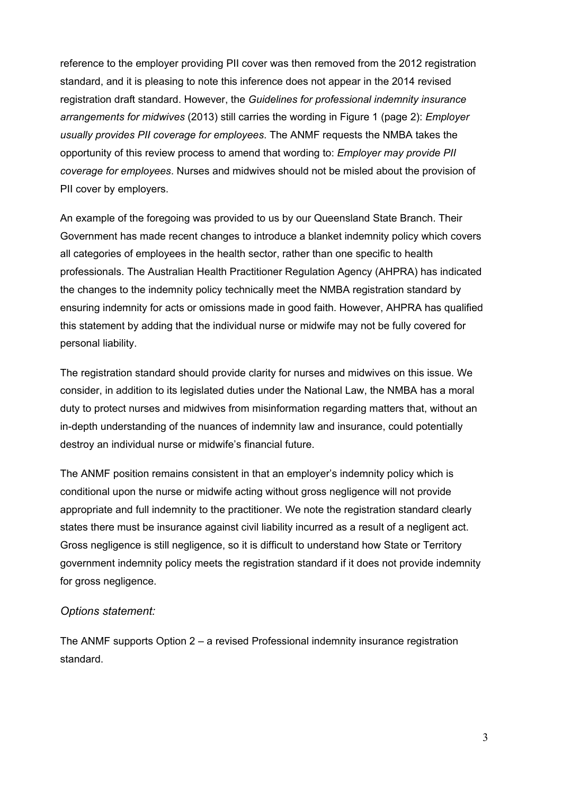reference to the employer providing PII cover was then removed from the 2012 registration standard, and it is pleasing to note this inference does not appear in the 2014 revised registration draft standard. However, the *Guidelines for professional indemnity insurance arrangements for midwives* (2013) still carries the wording in Figure 1 (page 2): *Employer usually provides PII coverage for employees*. The ANMF requests the NMBA takes the opportunity of this review process to amend that wording to: *Employer may provide PII coverage for employees*. Nurses and midwives should not be misled about the provision of PII cover by employers.

An example of the foregoing was provided to us by our Queensland State Branch. Their Government has made recent changes to introduce a blanket indemnity policy which covers all categories of employees in the health sector, rather than one specific to health professionals. The Australian Health Practitioner Regulation Agency (AHPRA) has indicated the changes to the indemnity policy technically meet the NMBA registration standard by ensuring indemnity for acts or omissions made in good faith. However, AHPRA has qualified this statement by adding that the individual nurse or midwife may not be fully covered for personal liability.

The registration standard should provide clarity for nurses and midwives on this issue. We consider, in addition to its legislated duties under the National Law, the NMBA has a moral duty to protect nurses and midwives from misinformation regarding matters that, without an in-depth understanding of the nuances of indemnity law and insurance, could potentially destroy an individual nurse or midwife's financial future.

The ANMF position remains consistent in that an employer's indemnity policy which is conditional upon the nurse or midwife acting without gross negligence will not provide appropriate and full indemnity to the practitioner. We note the registration standard clearly states there must be insurance against civil liability incurred as a result of a negligent act. Gross negligence is still negligence, so it is difficult to understand how State or Territory government indemnity policy meets the registration standard if it does not provide indemnity for gross negligence.

#### *Options statement:*

The ANMF supports Option 2 – a revised Professional indemnity insurance registration standard.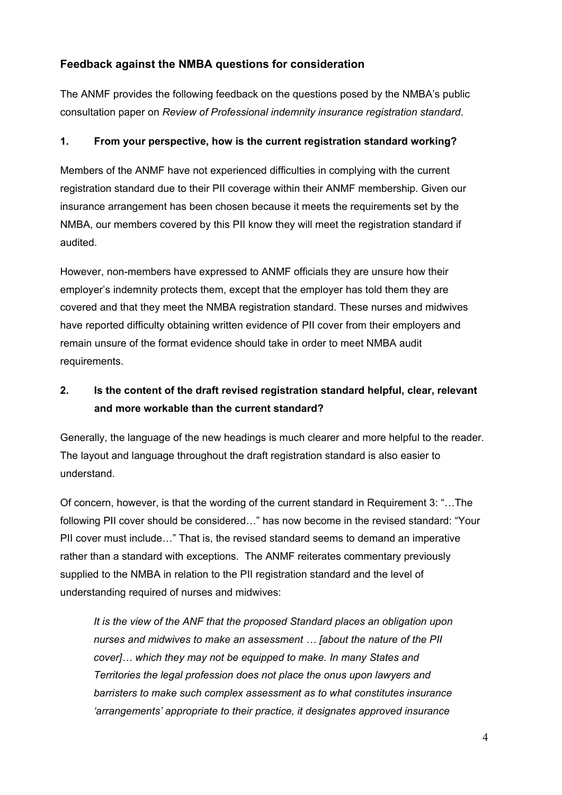### **Feedback against the NMBA questions for consideration**

The ANMF provides the following feedback on the questions posed by the NMBA's public consultation paper on *Review of Professional indemnity insurance registration standard*.

#### **1. From your perspective, how is the current registration standard working?**

Members of the ANMF have not experienced difficulties in complying with the current registration standard due to their PII coverage within their ANMF membership. Given our insurance arrangement has been chosen because it meets the requirements set by the NMBA, our members covered by this PII know they will meet the registration standard if audited.

However, non-members have expressed to ANMF officials they are unsure how their employer's indemnity protects them, except that the employer has told them they are covered and that they meet the NMBA registration standard. These nurses and midwives have reported difficulty obtaining written evidence of PII cover from their employers and remain unsure of the format evidence should take in order to meet NMBA audit requirements.

## **2. Is the content of the draft revised registration standard helpful, clear, relevant and more workable than the current standard?**

Generally, the language of the new headings is much clearer and more helpful to the reader. The layout and language throughout the draft registration standard is also easier to understand.

Of concern, however, is that the wording of the current standard in Requirement 3: "…The following PII cover should be considered…" has now become in the revised standard: "Your PII cover must include…" That is, the revised standard seems to demand an imperative rather than a standard with exceptions. The ANMF reiterates commentary previously supplied to the NMBA in relation to the PII registration standard and the level of understanding required of nurses and midwives:

*It is the view of the ANF that the proposed Standard places an obligation upon nurses and midwives to make an assessment … [about the nature of the PII cover]… which they may not be equipped to make. In many States and Territories the legal profession does not place the onus upon lawyers and barristers to make such complex assessment as to what constitutes insurance 'arrangements' appropriate to their practice, it designates approved insurance*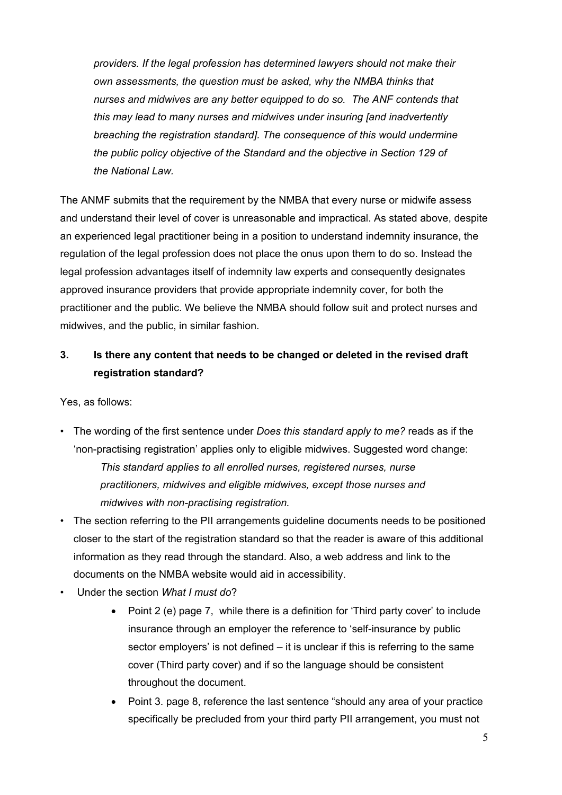*providers. If the legal profession has determined lawyers should not make their own assessments, the question must be asked, why the NMBA thinks that nurses and midwives are any better equipped to do so. The ANF contends that this may lead to many nurses and midwives under insuring [and inadvertently breaching the registration standard]. The consequence of this would undermine the public policy objective of the Standard and the objective in Section 129 of the National Law.* 

The ANMF submits that the requirement by the NMBA that every nurse or midwife assess and understand their level of cover is unreasonable and impractical. As stated above, despite an experienced legal practitioner being in a position to understand indemnity insurance, the regulation of the legal profession does not place the onus upon them to do so. Instead the legal profession advantages itself of indemnity law experts and consequently designates approved insurance providers that provide appropriate indemnity cover, for both the practitioner and the public. We believe the NMBA should follow suit and protect nurses and midwives, and the public, in similar fashion.

### **3. Is there any content that needs to be changed or deleted in the revised draft registration standard?**

Yes, as follows:

- The wording of the first sentence under *Does this standard apply to me?* reads as if the 'non-practising registration' applies only to eligible midwives. Suggested word change: *This standard applies to all enrolled nurses, registered nurses, nurse practitioners, midwives and eligible midwives, except those nurses and midwives with non-practising registration.*
- The section referring to the PII arrangements guideline documents needs to be positioned closer to the start of the registration standard so that the reader is aware of this additional information as they read through the standard. Also, a web address and link to the documents on the NMBA website would aid in accessibility.
- Under the section *What I must do*?
	- Point 2 (e) page 7, while there is a definition for 'Third party cover' to include insurance through an employer the reference to 'self-insurance by public sector employers' is not defined – it is unclear if this is referring to the same cover (Third party cover) and if so the language should be consistent throughout the document.
	- Point 3. page 8, reference the last sentence "should any area of your practice specifically be precluded from your third party PII arrangement, you must not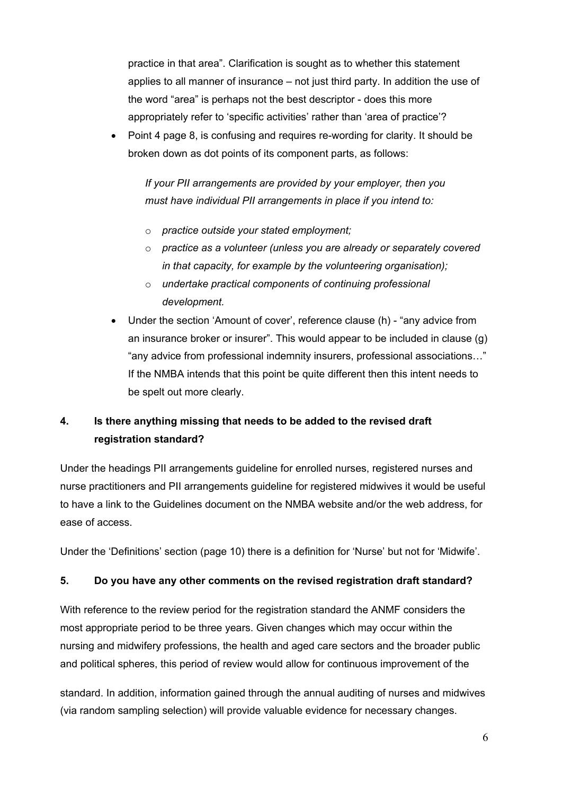practice in that area". Clarification is sought as to whether this statement applies to all manner of insurance – not just third party. In addition the use of the word "area" is perhaps not the best descriptor - does this more appropriately refer to 'specific activities' rather than 'area of practice'?

• Point 4 page 8, is confusing and requires re-wording for clarity. It should be broken down as dot points of its component parts, as follows:

*If your PII arrangements are provided by your employer, then you must have individual PII arrangements in place if you intend to:* 

- o *practice outside your stated employment;*
- o *practice as a volunteer (unless you are already or separately covered in that capacity, for example by the volunteering organisation);*
- o *undertake practical components of continuing professional development.*
- Under the section 'Amount of cover', reference clause (h) "any advice from an insurance broker or insurer". This would appear to be included in clause (g) "any advice from professional indemnity insurers, professional associations…" If the NMBA intends that this point be quite different then this intent needs to be spelt out more clearly.

## **4. Is there anything missing that needs to be added to the revised draft registration standard?**

Under the headings PII arrangements guideline for enrolled nurses, registered nurses and nurse practitioners and PII arrangements guideline for registered midwives it would be useful to have a link to the Guidelines document on the NMBA website and/or the web address, for ease of access.

Under the 'Definitions' section (page 10) there is a definition for 'Nurse' but not for 'Midwife'.

#### **5. Do you have any other comments on the revised registration draft standard?**

With reference to the review period for the registration standard the ANMF considers the most appropriate period to be three years. Given changes which may occur within the nursing and midwifery professions, the health and aged care sectors and the broader public and political spheres, this period of review would allow for continuous improvement of the

standard. In addition, information gained through the annual auditing of nurses and midwives (via random sampling selection) will provide valuable evidence for necessary changes.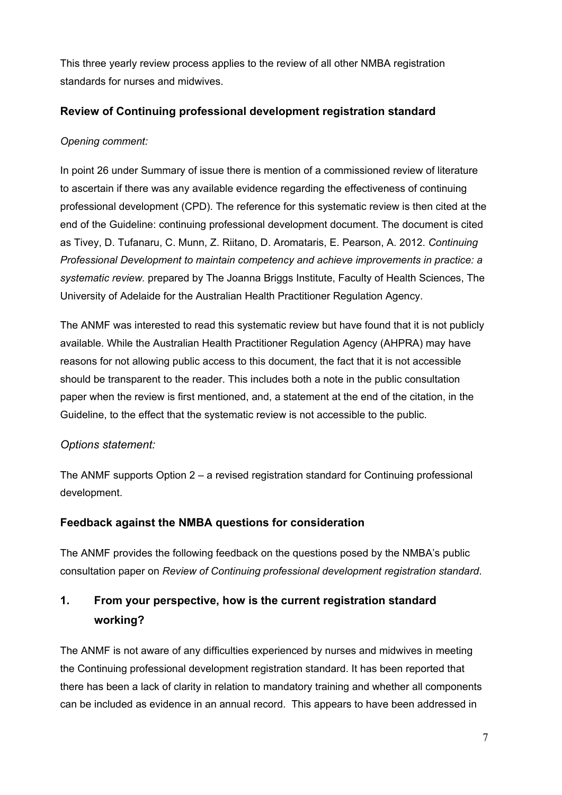This three yearly review process applies to the review of all other NMBA registration standards for nurses and midwives.

#### **Review of Continuing professional development registration standard**

#### *Opening comment:*

In point 26 under Summary of issue there is mention of a commissioned review of literature to ascertain if there was any available evidence regarding the effectiveness of continuing professional development (CPD). The reference for this systematic review is then cited at the end of the Guideline: continuing professional development document. The document is cited as Tivey, D. Tufanaru, C. Munn, Z. Riitano, D. Aromataris, E. Pearson, A. 2012. *Continuing Professional Development to maintain competency and achieve improvements in practice: a systematic review.* prepared by The Joanna Briggs Institute, Faculty of Health Sciences, The University of Adelaide for the Australian Health Practitioner Regulation Agency.

The ANMF was interested to read this systematic review but have found that it is not publicly available. While the Australian Health Practitioner Regulation Agency (AHPRA) may have reasons for not allowing public access to this document, the fact that it is not accessible should be transparent to the reader. This includes both a note in the public consultation paper when the review is first mentioned, and, a statement at the end of the citation, in the Guideline, to the effect that the systematic review is not accessible to the public.

### *Options statement:*

The ANMF supports Option 2 – a revised registration standard for Continuing professional development.

### **Feedback against the NMBA questions for consideration**

The ANMF provides the following feedback on the questions posed by the NMBA's public consultation paper on *Review of Continuing professional development registration standard*.

# **1. From your perspective, how is the current registration standard working?**

The ANMF is not aware of any difficulties experienced by nurses and midwives in meeting the Continuing professional development registration standard. It has been reported that there has been a lack of clarity in relation to mandatory training and whether all components can be included as evidence in an annual record. This appears to have been addressed in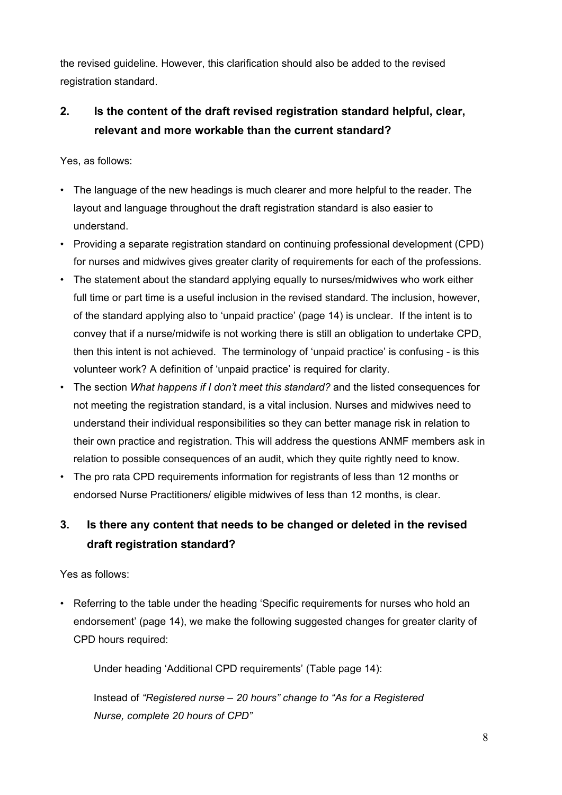the revised guideline. However, this clarification should also be added to the revised registration standard.

# **2. Is the content of the draft revised registration standard helpful, clear, relevant and more workable than the current standard?**

Yes, as follows:

- The language of the new headings is much clearer and more helpful to the reader. The layout and language throughout the draft registration standard is also easier to understand.
- Providing a separate registration standard on continuing professional development (CPD) for nurses and midwives gives greater clarity of requirements for each of the professions.
- The statement about the standard applying equally to nurses/midwives who work either full time or part time is a useful inclusion in the revised standard. The inclusion, however, of the standard applying also to 'unpaid practice' (page 14) is unclear. If the intent is to convey that if a nurse/midwife is not working there is still an obligation to undertake CPD, then this intent is not achieved. The terminology of 'unpaid practice' is confusing - is this volunteer work? A definition of 'unpaid practice' is required for clarity.
- The section *What happens if I don't meet this standard?* and the listed consequences for not meeting the registration standard, is a vital inclusion. Nurses and midwives need to understand their individual responsibilities so they can better manage risk in relation to their own practice and registration. This will address the questions ANMF members ask in relation to possible consequences of an audit, which they quite rightly need to know.
- The pro rata CPD requirements information for registrants of less than 12 months or endorsed Nurse Practitioners/ eligible midwives of less than 12 months, is clear.

# **3. Is there any content that needs to be changed or deleted in the revised draft registration standard?**

Yes as follows:

Referring to the table under the heading 'Specific requirements for nurses who hold an endorsement' (page 14), we make the following suggested changes for greater clarity of CPD hours required:

Under heading 'Additional CPD requirements' (Table page 14):

Instead of *"Registered nurse – 20 hours" change to "As for a Registered Nurse, complete 20 hours of CPD"*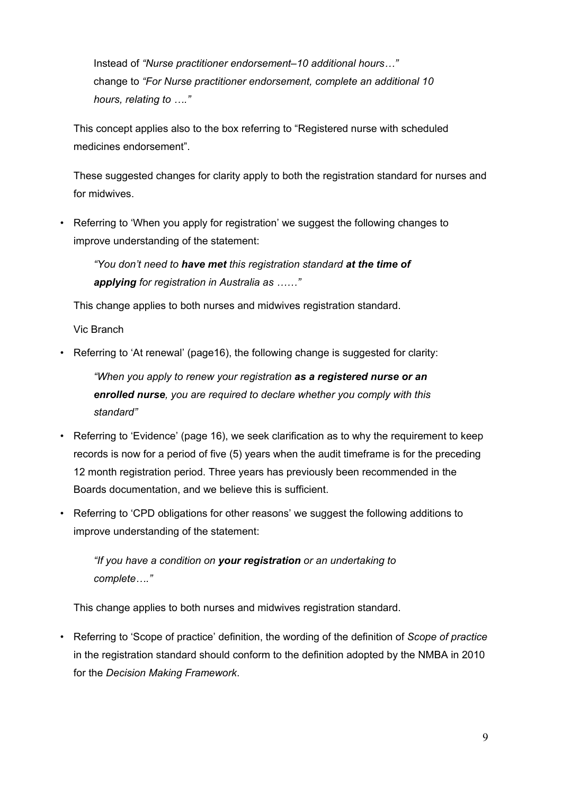Instead of *"Nurse practitioner endorsement–10 additional hours…"*  change to *"For Nurse practitioner endorsement, complete an additional 10 hours, relating to …."*

This concept applies also to the box referring to "Registered nurse with scheduled medicines endorsement".

These suggested changes for clarity apply to both the registration standard for nurses and for midwives.

• Referring to 'When you apply for registration' we suggest the following changes to improve understanding of the statement:

*"You don't need to have met this registration standard at the time of applying for registration in Australia as ……"* 

This change applies to both nurses and midwives registration standard.

Vic Branch

• Referring to 'At renewal' (page16), the following change is suggested for clarity:

*"When you apply to renew your registration as a registered nurse or an enrolled nurse, you are required to declare whether you comply with this standard"* 

- Referring to 'Evidence' (page 16), we seek clarification as to why the requirement to keep records is now for a period of five (5) years when the audit timeframe is for the preceding 12 month registration period. Three years has previously been recommended in the Boards documentation, and we believe this is sufficient.
- Referring to 'CPD obligations for other reasons' we suggest the following additions to improve understanding of the statement:

*"If you have a condition on your registration or an undertaking to complete…."* 

This change applies to both nurses and midwives registration standard.

• Referring to 'Scope of practice' definition, the wording of the definition of *Scope of practice* in the registration standard should conform to the definition adopted by the NMBA in 2010 for the *Decision Making Framework*.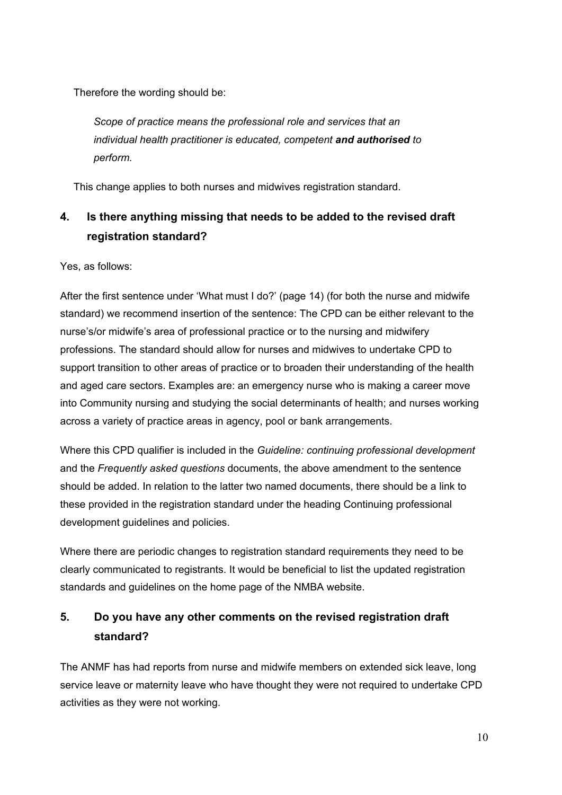Therefore the wording should be:

*Scope of practice means the professional role and services that an individual health practitioner is educated, competent and authorised to perform.* 

This change applies to both nurses and midwives registration standard.

# **4. Is there anything missing that needs to be added to the revised draft registration standard?**

Yes, as follows:

After the first sentence under 'What must I do?' (page 14) (for both the nurse and midwife standard) we recommend insertion of the sentence: The CPD can be either relevant to the nurse's/or midwife's area of professional practice or to the nursing and midwifery professions. The standard should allow for nurses and midwives to undertake CPD to support transition to other areas of practice or to broaden their understanding of the health and aged care sectors. Examples are: an emergency nurse who is making a career move into Community nursing and studying the social determinants of health; and nurses working across a variety of practice areas in agency, pool or bank arrangements.

Where this CPD qualifier is included in the *Guideline: continuing professional development* and the *Frequently asked questions* documents, the above amendment to the sentence should be added. In relation to the latter two named documents, there should be a link to these provided in the registration standard under the heading Continuing professional development guidelines and policies.

Where there are periodic changes to registration standard requirements they need to be clearly communicated to registrants. It would be beneficial to list the updated registration standards and guidelines on the home page of the NMBA website.

# **5. Do you have any other comments on the revised registration draft standard?**

The ANMF has had reports from nurse and midwife members on extended sick leave, long service leave or maternity leave who have thought they were not required to undertake CPD activities as they were not working.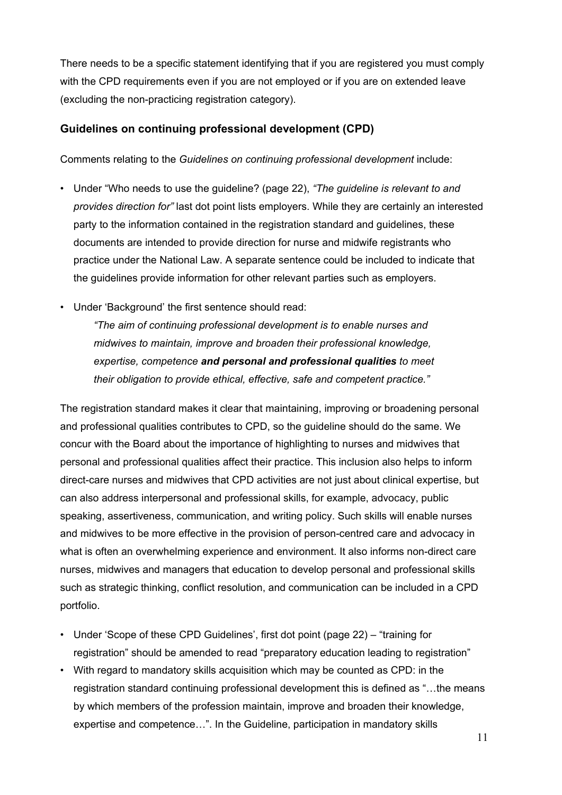There needs to be a specific statement identifying that if you are registered you must comply with the CPD requirements even if you are not employed or if you are on extended leave (excluding the non-practicing registration category).

#### **Guidelines on continuing professional development (CPD)**

Comments relating to the *Guidelines on continuing professional development* include:

- Under "Who needs to use the guideline? (page 22), *"The guideline is relevant to and provides direction for"* last dot point lists employers. While they are certainly an interested party to the information contained in the registration standard and guidelines, these documents are intended to provide direction for nurse and midwife registrants who practice under the National Law. A separate sentence could be included to indicate that the guidelines provide information for other relevant parties such as employers.
- Under 'Background' the first sentence should read:

*"The aim of continuing professional development is to enable nurses and midwives to maintain, improve and broaden their professional knowledge, expertise, competence and personal and professional qualities to meet their obligation to provide ethical, effective, safe and competent practice."* 

The registration standard makes it clear that maintaining, improving or broadening personal and professional qualities contributes to CPD, so the guideline should do the same. We concur with the Board about the importance of highlighting to nurses and midwives that personal and professional qualities affect their practice. This inclusion also helps to inform direct-care nurses and midwives that CPD activities are not just about clinical expertise, but can also address interpersonal and professional skills, for example, advocacy, public speaking, assertiveness, communication, and writing policy. Such skills will enable nurses and midwives to be more effective in the provision of person-centred care and advocacy in what is often an overwhelming experience and environment. It also informs non-direct care nurses, midwives and managers that education to develop personal and professional skills such as strategic thinking, conflict resolution, and communication can be included in a CPD portfolio.

- Under 'Scope of these CPD Guidelines', first dot point (page 22) "training for registration" should be amended to read "preparatory education leading to registration"
- With regard to mandatory skills acquisition which may be counted as CPD: in the registration standard continuing professional development this is defined as "…the means by which members of the profession maintain, improve and broaden their knowledge, expertise and competence…". In the Guideline, participation in mandatory skills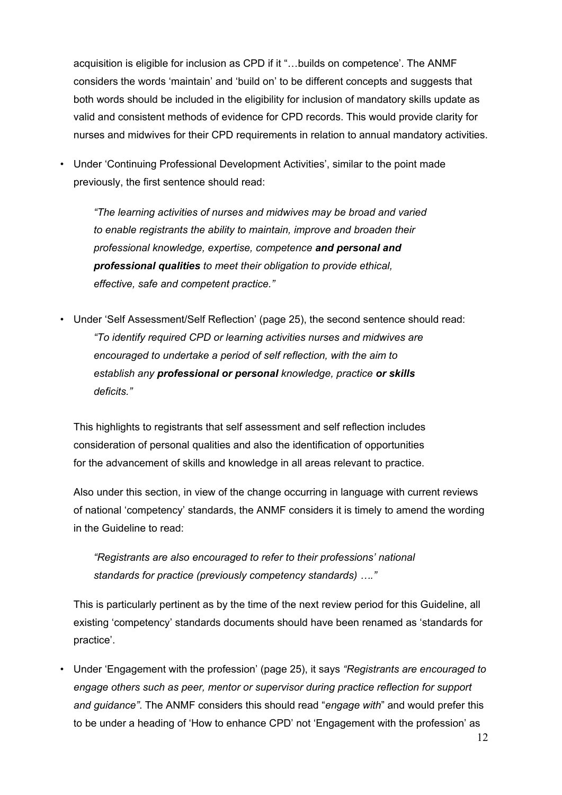acquisition is eligible for inclusion as CPD if it "…builds on competence'. The ANMF considers the words 'maintain' and 'build on' to be different concepts and suggests that both words should be included in the eligibility for inclusion of mandatory skills update as valid and consistent methods of evidence for CPD records. This would provide clarity for nurses and midwives for their CPD requirements in relation to annual mandatory activities.

• Under 'Continuing Professional Development Activities', similar to the point made previously, the first sentence should read:

*"The learning activities of nurses and midwives may be broad and varied to enable registrants the ability to maintain, improve and broaden their professional knowledge, expertise, competence and personal and professional qualities to meet their obligation to provide ethical, effective, safe and competent practice."* 

• Under 'Self Assessment/Self Reflection' (page 25), the second sentence should read: *"To identify required CPD or learning activities nurses and midwives are encouraged to undertake a period of self reflection, with the aim to establish any professional or personal knowledge, practice or skills deficits."* 

This highlights to registrants that self assessment and self reflection includes consideration of personal qualities and also the identification of opportunities for the advancement of skills and knowledge in all areas relevant to practice.

Also under this section, in view of the change occurring in language with current reviews of national 'competency' standards, the ANMF considers it is timely to amend the wording in the Guideline to read:

*"Registrants are also encouraged to refer to their professions' national standards for practice (previously competency standards) …."* 

This is particularly pertinent as by the time of the next review period for this Guideline, all existing 'competency' standards documents should have been renamed as 'standards for practice'.

• Under 'Engagement with the profession' (page 25), it says *"Registrants are encouraged to engage others such as peer, mentor or supervisor during practice reflection for support and guidance"*. The ANMF considers this should read "*engage with*" and would prefer this to be under a heading of 'How to enhance CPD' not 'Engagement with the profession' as

12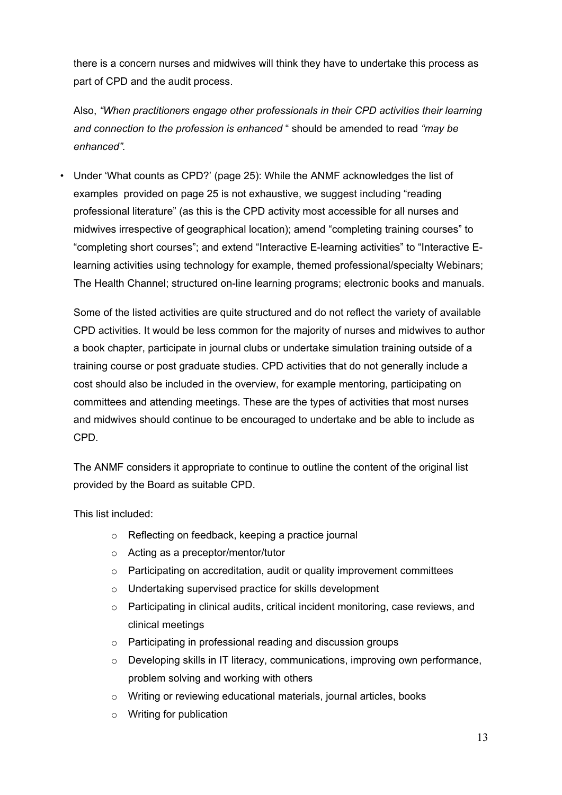there is a concern nurses and midwives will think they have to undertake this process as part of CPD and the audit process.

Also, *"When practitioners engage other professionals in their CPD activities their learning and connection to the profession is enhanced* " should be amended to read *"may be enhanced".* 

• Under 'What counts as CPD?' (page 25): While the ANMF acknowledges the list of examples provided on page 25 is not exhaustive, we suggest including "reading professional literature" (as this is the CPD activity most accessible for all nurses and midwives irrespective of geographical location); amend "completing training courses" to "completing short courses"; and extend "Interactive E-learning activities" to "Interactive Elearning activities using technology for example, themed professional/specialty Webinars; The Health Channel; structured on-line learning programs; electronic books and manuals.

Some of the listed activities are quite structured and do not reflect the variety of available CPD activities. It would be less common for the majority of nurses and midwives to author a book chapter, participate in journal clubs or undertake simulation training outside of a training course or post graduate studies. CPD activities that do not generally include a cost should also be included in the overview, for example mentoring, participating on committees and attending meetings. These are the types of activities that most nurses and midwives should continue to be encouraged to undertake and be able to include as CPD.

The ANMF considers it appropriate to continue to outline the content of the original list provided by the Board as suitable CPD.

This list included:

- o Reflecting on feedback, keeping a practice journal
- o Acting as a preceptor/mentor/tutor
- o Participating on accreditation, audit or quality improvement committees
- o Undertaking supervised practice for skills development
- $\circ$  Participating in clinical audits, critical incident monitoring, case reviews, and clinical meetings
- o Participating in professional reading and discussion groups
- o Developing skills in IT literacy, communications, improving own performance, problem solving and working with others
- o Writing or reviewing educational materials, journal articles, books
- o Writing for publication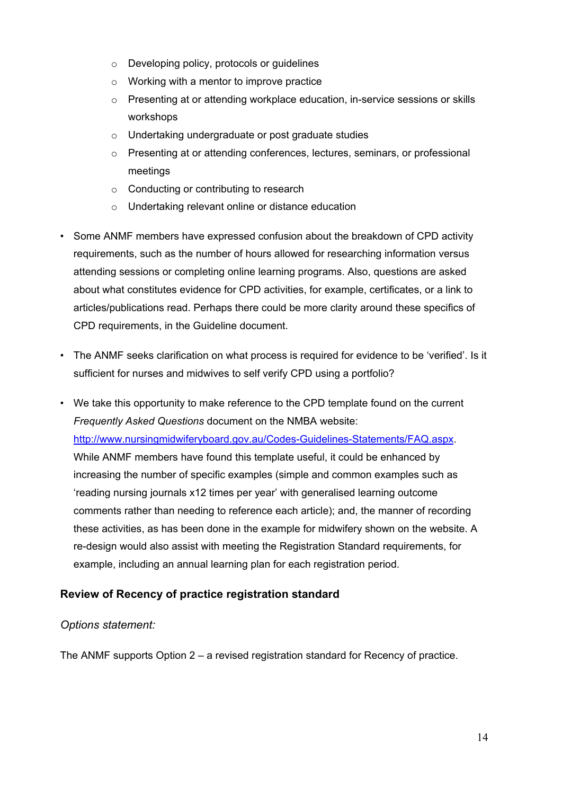- o Developing policy, protocols or guidelines
- o Working with a mentor to improve practice
- $\circ$  Presenting at or attending workplace education, in-service sessions or skills workshops
- o Undertaking undergraduate or post graduate studies
- o Presenting at or attending conferences, lectures, seminars, or professional meetings
- o Conducting or contributing to research
- o Undertaking relevant online or distance education
- Some ANMF members have expressed confusion about the breakdown of CPD activity requirements, such as the number of hours allowed for researching information versus attending sessions or completing online learning programs. Also, questions are asked about what constitutes evidence for CPD activities, for example, certificates, or a link to articles/publications read. Perhaps there could be more clarity around these specifics of CPD requirements, in the Guideline document.
- The ANMF seeks clarification on what process is required for evidence to be 'verified'. Is it sufficient for nurses and midwives to self verify CPD using a portfolio?
- We take this opportunity to make reference to the CPD template found on the current *Frequently Asked Questions* document on the NMBA website: http://www.nursingmidwiferyboard.gov.au/Codes-Guidelines-Statements/FAQ.aspx. While ANMF members have found this template useful, it could be enhanced by increasing the number of specific examples (simple and common examples such as 'reading nursing journals x12 times per year' with generalised learning outcome comments rather than needing to reference each article); and, the manner of recording these activities, as has been done in the example for midwifery shown on the website. A re-design would also assist with meeting the Registration Standard requirements, for example, including an annual learning plan for each registration period.

#### **Review of Recency of practice registration standard**

#### *Options statement:*

The ANMF supports Option 2 – a revised registration standard for Recency of practice.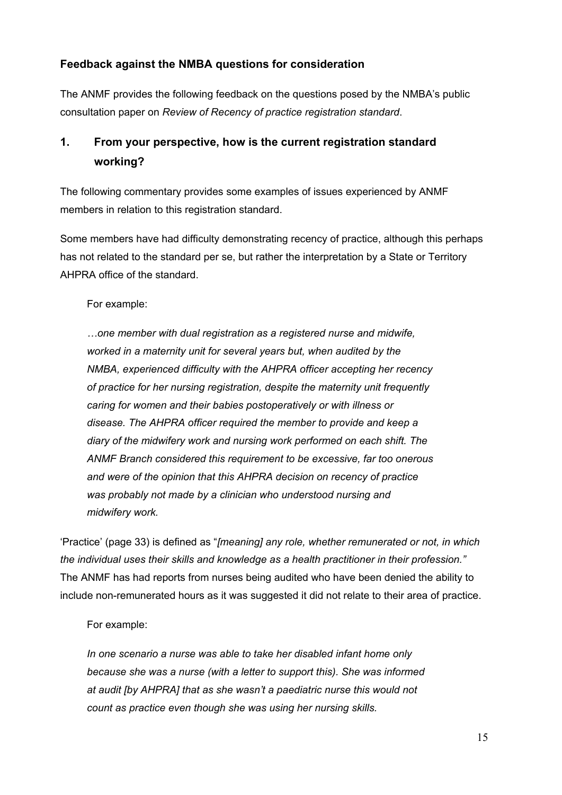### **Feedback against the NMBA questions for consideration**

The ANMF provides the following feedback on the questions posed by the NMBA's public consultation paper on *Review of Recency of practice registration standard*.

# **1. From your perspective, how is the current registration standard working?**

The following commentary provides some examples of issues experienced by ANMF members in relation to this registration standard.

Some members have had difficulty demonstrating recency of practice, although this perhaps has not related to the standard per se, but rather the interpretation by a State or Territory AHPRA office of the standard.

For example:

*…one member with dual registration as a registered nurse and midwife, worked in a maternity unit for several years but, when audited by the NMBA, experienced difficulty with the AHPRA officer accepting her recency of practice for her nursing registration, despite the maternity unit frequently caring for women and their babies postoperatively or with illness or disease. The AHPRA officer required the member to provide and keep a diary of the midwifery work and nursing work performed on each shift. The ANMF Branch considered this requirement to be excessive, far too onerous and were of the opinion that this AHPRA decision on recency of practice was probably not made by a clinician who understood nursing and midwifery work.* 

'Practice' (page 33) is defined as "*[meaning] any role, whether remunerated or not, in which the individual uses their skills and knowledge as a health practitioner in their profession."* The ANMF has had reports from nurses being audited who have been denied the ability to include non-remunerated hours as it was suggested it did not relate to their area of practice.

#### For example:

*In one scenario a nurse was able to take her disabled infant home only because she was a nurse (with a letter to support this). She was informed at audit [by AHPRA] that as she wasn't a paediatric nurse this would not count as practice even though she was using her nursing skills.*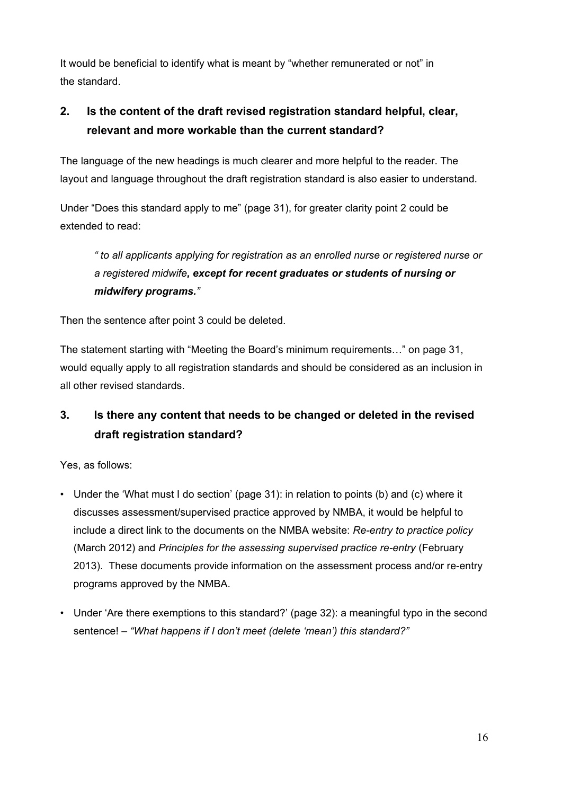It would be beneficial to identify what is meant by "whether remunerated or not" in the standard.

# **2. Is the content of the draft revised registration standard helpful, clear, relevant and more workable than the current standard?**

The language of the new headings is much clearer and more helpful to the reader. The layout and language throughout the draft registration standard is also easier to understand.

Under "Does this standard apply to me" (page 31), for greater clarity point 2 could be extended to read:

*" to all applicants applying for registration as an enrolled nurse or registered nurse or a registered midwife, except for recent graduates or students of nursing or midwifery programs."* 

Then the sentence after point 3 could be deleted.

The statement starting with "Meeting the Board's minimum requirements…" on page 31, would equally apply to all registration standards and should be considered as an inclusion in all other revised standards.

# **3. Is there any content that needs to be changed or deleted in the revised draft registration standard?**

Yes, as follows:

- Under the 'What must I do section' (page 31): in relation to points (b) and (c) where it discusses assessment/supervised practice approved by NMBA, it would be helpful to include a direct link to the documents on the NMBA website: *Re-entry to practice policy* (March 2012) and *Principles for the assessing supervised practice re-entry* (February 2013). These documents provide information on the assessment process and/or re-entry programs approved by the NMBA.
- Under 'Are there exemptions to this standard?' (page 32): a meaningful typo in the second sentence! – *"What happens if I don't meet (delete 'mean') this standard?"*